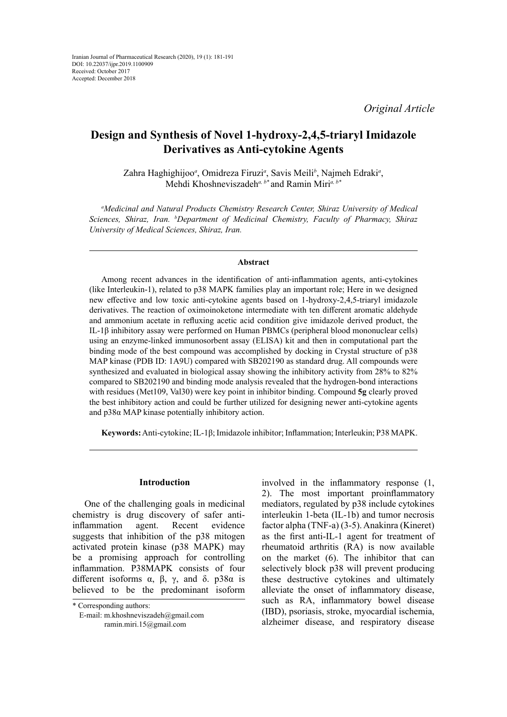*Original Article*

# **Design and Synthesis of Novel 1-hydroxy-2,4,5-triaryl Imidazole Derivatives as Anti-cytokine Agents**

Zahra Haghighijoo*<sup>a</sup>* , Omidreza Firuzi*<sup>a</sup>* , Savis Meili*<sup>b</sup>* , Najmeh Edraki*<sup>a</sup>* , Mehdi Khoshneviszadeh*a, b\** and Ramin Miri*a, b\**

*a Medicinal and Natural Products Chemistry Research Center, Shiraz University of Medical Sciences, Shiraz, Iran. b Department of Medicinal Chemistry, Faculty of Pharmacy, Shiraz University of Medical Sciences, Shiraz, Iran.*

### **Abstract**

Among recent advances in the identification of anti-inflammation agents, anti-cytokines (like Interleukin-1), related to p38 MAPK families play an important role; Here in we designed new effective and low toxic anti-cytokine agents based on 1-hydroxy-2,4,5-triaryl imidazole derivatives. The reaction of oximoinoketone intermediate with ten different aromatic aldehyde and ammonium acetate in refluxing acetic acid condition give imidazole derived product, the IL-1β inhibitory assay were performed on Human PBMCs (peripheral blood mononuclear cells) using an enzyme-linked immunosorbent assay (ELISA) kit and then in computational part the binding mode of the best compound was accomplished by docking in Crystal structure of p38 MAP kinase (PDB ID: 1A9U) compared with SB202190 as standard drug. All compounds were synthesized and evaluated in biological assay showing the inhibitory activity from 28% to 82% compared to SB202190 and binding mode analysis revealed that the hydrogen-bond interactions with residues (Met109, Val30) were key point in inhibitor binding. Compound **5g** clearly proved the best inhibitory action and could be further utilized for designing newer anti-cytokine agents and p38α MAP kinase potentially inhibitory action.

**Keywords:** Anti-cytokine; IL-1β; Imidazole inhibitor; Inflammation; Interleukin; P38 MAPK.

### **Introduction**

One of the challenging goals in medicinal chemistry is drug discovery of safer antiinflammation agent. Recent evidence suggests that inhibition of the p38 mitogen activated protein kinase (p38 MAPK) may be a promising approach for controlling inflammation. P38MAPK consists of four different isoforms  $\alpha$ ,  $\beta$ ,  $\gamma$ , and δ. p38α is believed to be the predominant isoform

involved in the inflammatory response (1, 2). The most important proinflammatory mediators, regulated by p38 include cytokines interleukin 1-beta (IL-1b) and tumor necrosis factor alpha (TNF-a) (3-5). Anakinra (Kineret) as the first anti-IL-1 agent for treatment of rheumatoid arthritis (RA) is now available on the market (6). The inhibitor that can selectively block p38 will prevent producing these destructive cytokines and ultimately alleviate the onset of inflammatory disease, such as RA, inflammatory bowel disease (IBD), psoriasis, stroke, myocardial ischemia, alzheimer disease, and respiratory disease

<sup>\*</sup> Corresponding authors:

E-mail: m.khoshneviszadeh@gmail.com ramin.miri.15@gmail.com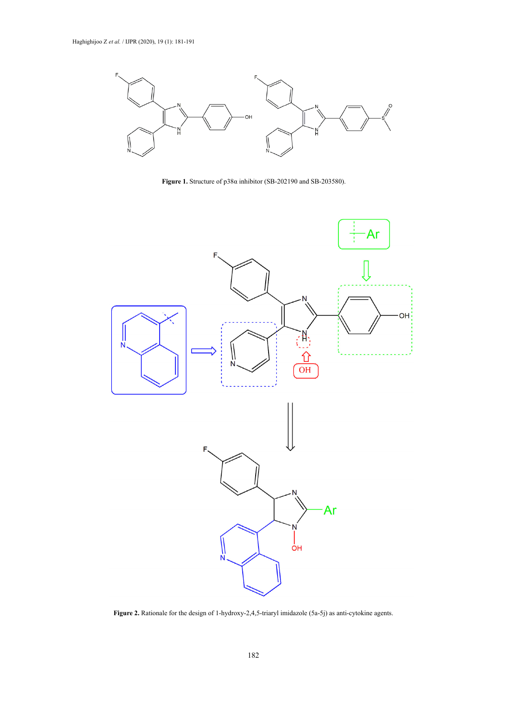

**Figure 1.** Structure of p38α inhibitor (SB-202190 and SB-203580). **Figure 1.** Structure of p38α inhibitor (SB-202190 and SB-203580).



Figure 2. Rationale for the design of 1-hydroxy-2,4,5-triaryl imidazole (5a-5j) as anti-cytokine agents.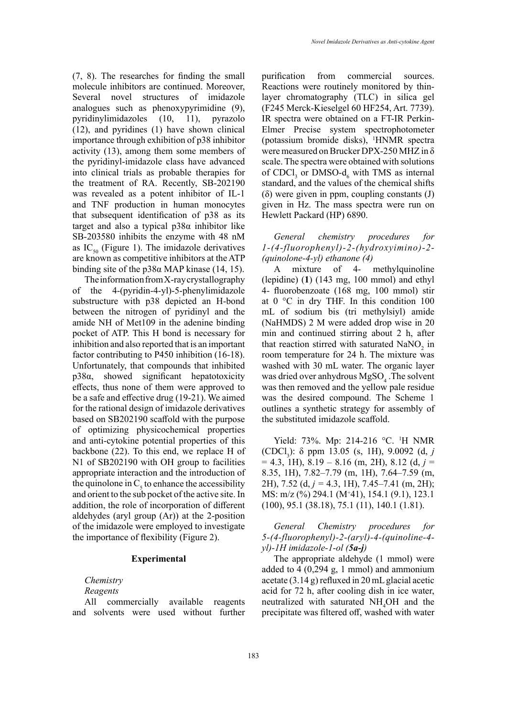(7, 8). The researches for finding the small molecule inhibitors are continued. Moreover, Several novel structures of imidazole analogues such as phenoxypyrimidine (9), pyridinylimidazoles (10, 11), pyrazolo (12), and pyridines (1) have shown clinical importance through exhibition of p38 inhibitor activity (13), among them some members of the pyridinyl-imidazole class have advanced into clinical trials as probable therapies for the treatment of RA. Recently, SB-202190 was revealed as a potent inhibitor of IL-1 and TNF production in human monocytes that subsequent identification of p38 as its target and also a typical p38α inhibitor like SB-203580 inhibits the enzyme with 48 nM as  $IC_{50}$  (Figure 1). The imidazole derivatives are known as competitive inhibitors at the ATP binding site of the p38α MAP kinase (14, 15).

The information from X-ray crystallography of the 4-(pyridin-4-yl)-5-phenylimidazole substructure with p38 depicted an H-bond between the nitrogen of pyridinyl and the amide NH of Met109 in the adenine binding pocket of ATP. This H bond is necessary for inhibition and also reported that is an important factor contributing to P450 inhibition (16-18). Unfortunately, that compounds that inhibited p38α, showed significant hepatotoxicity effects, thus none of them were approved to be a safe and effective drug (19-21). We aimed for the rational design of imidazole derivatives based on SB202190 scaffold with the purpose of optimizing physicochemical properties and anti-cytokine potential properties of this backbone (22). To this end, we replace H of N1 of SB202190 with OH group to facilities appropriate interaction and the introduction of the quinolone in  $C_5$  to enhance the accessibility and orient to the sub pocket of the active site. In addition, the role of incorporation of different aldehydes (aryl group (Ar)) at the 2-position of the imidazole were employed to investigate the importance of flexibility (Figure 2).

### **Experimental**

### *Chemistry Reagents*

All commercially available reagents and solvents were used without further purification from commercial sources. Reactions were routinely monitored by thinlayer chromatography (TLC) in silica gel (F245 Merck-Kieselgel 60 HF254, Art. 7739). IR spectra were obtained on a FT-IR Perkin-Elmer Precise system spectrophotometer (potassium bromide disks), 1 HNMR spectra were measured on Brucker DPX-250 MHZ in δ scale. The spectra were obtained with solutions of CDCl<sub>3</sub> or DMSO-d<sub>6</sub> with TMS as internal standard, and the values of the chemical shifts (δ) were given in ppm, coupling constants (J) given in Hz. The mass spectra were run on Hewlett Packard (HP) 6890.

*General chemistry procedures for 1-(4-fluorophenyl)-2-(hydroxyimino)-2- (quinolone-4-yl) ethanone (4)*

A mixture of 4- methylquinoline (lepidine) (**1**) (143 mg, 100 mmol) and ethyl 4- fluorobenzoate (168 mg, 100 mmol) stir at 0 °C in dry THF. In this condition 100 mL of sodium bis (tri methylsiyl) amide (NaHMDS) 2 M were added drop wise in 20 min and continued stirring about 2 h, after that reaction stirred with saturated  $\text{NaNO}_2$  in room temperature for 24 h. The mixture was washed with 30 mL water. The organic layer was dried over anhydrous  $MgSO<sub>4</sub>$ . The solvent was then removed and the yellow pale residue was the desired compound. The Scheme 1 outlines a synthetic strategy for assembly of the substituted imidazole scaffold.

Yield: 73%. Mp: 214-216 °C. <sup>1</sup>H NMR (CDCl3 ): δ ppm 13.05 (s, 1H), 9.0092 (d, *j*  $= 4.3, 1H$ , 8.19 – 8.16 (m, 2H), 8.12 (d, *j* = 8.35, 1H), 7.82–7.79 (m, 1H), 7.64–7.59 (m, 2H), 7.52 (d, *j =* 4.3, 1H), 7.45–7.41 (m, 2H); MS: m/z (%) 294.1 (M<sup>+</sup> 41), 154.1 (9.1), 123.1 (100), 95.1 (38.18), 75.1 (11), 140.1 (1.81).

*General Chemistry procedures for 5-(4-fluorophenyl)-2-(aryl)-4-(quinoline-4 yl)-1H imidazole-1-ol (5a-j)*

The appropriate aldehyde (1 mmol) were added to 4 (0,294 g, 1 mmol) and ammonium acetate (3.14 g) refluxed in 20 mL glacial acetic acid for 72 h, after cooling dish in ice water, neutralized with saturated NH<sub>4</sub>OH and the precipitate was filtered off, washed with water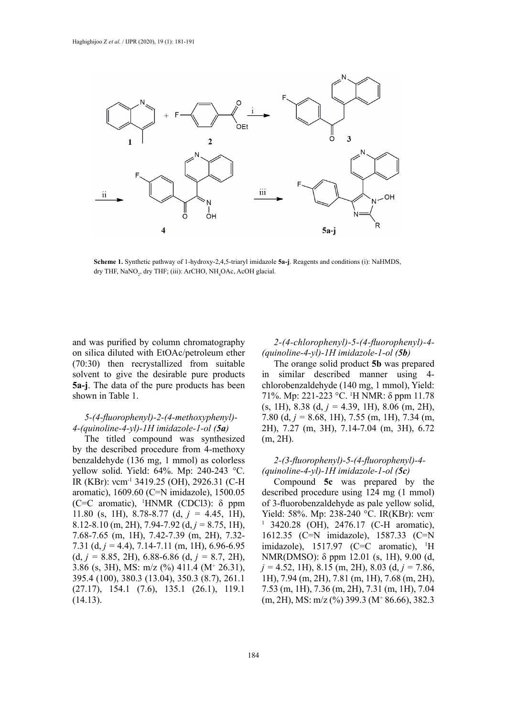

dry THF, NaNO<sub>2</sub>, dry THF; (iii): ArCHO, NH<sub>4</sub>OAc, AcOH glacial. **Scheme 1.** Synthetic pathway of 1-hydroxy-2,4,5-triaryl imidazole **5a-j**. Reagents and conditions (i): NaHMDS,

and was purified by column chromatography on silica diluted with EtOAc/petroleum ether (70:30) then recrystallized from suitable solvent to give the desirable pure products **5a-j**. The data of the pure products has been shown in Table 1.

### *5-(4-fluorophenyl)-2-(4-methoxyphenyl)- 4-(quinoline-4-yl)-1H imidazole-1-ol (5a)*

The titled compound was synthesized by the described procedure from 4-methoxy benzaldehyde (136 mg, 1 mmol) as colorless yellow solid. Yield: 64%. Mp: 240-243 °C. IR (KBr): νcm-1 3419.25 (OH), 2926.31 (C-H aromatic), 1609.60 (C=N imidazole), 1500.05 (C=C aromatic), 1 HNMR (CDCl3): δ ppm 11.80 (s, 1H), 8.78-8.77 (d, *j =* 4.45, 1H), 8.12-8.10 (m, 2H), 7.94-7.92 (d, *j =* 8.75, 1H), 7.68-7.65 (m, 1H), 7.42-7.39 (m, 2H), 7.32- 7.31 (d, *j =* 4.4), 7.14-7.11 (m, 1H), 6.96-6.95 (d, *j =* 8.85, 2H), 6.88-6.86 (d, *j =* 8.7, 2H), 3.86 (s, 3H), MS: m/z (%) 411.4 (M<sup>+</sup> 26.31), 395.4 (100), 380.3 (13.04), 350.3 (8.7), 261.1 (27.17), 154.1 (7.6), 135.1 (26.1), 119.1 (14.13).

## *2-(4-chlorophenyl)-5-(4-fluorophenyl)-4- (quinoline-4-yl)-1H imidazole-1-ol (5b)*

The orange solid product **5b** was prepared in similar described manner using 4 chlorobenzaldehyde (140 mg, 1 mmol), Yield: 71%. Mp: 221-223 °C. <sup>1</sup> H NMR: δ ppm 11.78 (s, 1H), 8.38 (d, *j =* 4.39, 1H), 8.06 (m, 2H), 7.80 (d, *j =* 8.68, 1H), 7.55 (m, 1H), 7.34 (m, 2H), 7.27 (m, 3H), 7.14-7.04 (m, 3H), 6.72 (m, 2H).

### *2-(3-fluorophenyl)-5-(4-fluorophenyl)-4- (quinoline-4-yl)-1H imidazole-1-ol (5c)*

Compound **5c** was prepared by the described procedure using 124 mg (1 mmol) of 3-fluorobenzaldehyde as pale yellow solid, Yield: 58%. Mp: 238-240 °C. IR(KBr): vcm 1 3420.28 (OH), 2476.17 (C-H aromatic), 1612.35 (C=N imidazole), 1587.33 (C=N imidazole), 1517.97 (C=C aromatic), <sup>1</sup>H NMR(DMSO): δ ppm 12.01 (s, 1H), 9.00 (d, *j =* 4.52, 1H), 8.15 (m, 2H), 8.03 (d, *j =* 7.86, 1H), 7.94 (m, 2H), 7.81 (m, 1H), 7.68 (m, 2H), 7.53 (m, 1H), 7.36 (m, 2H), 7.31 (m, 1H), 7.04 (m, 2H), MS: m/z (%) 399.3 (M<sup>+</sup> 86.66), 382.3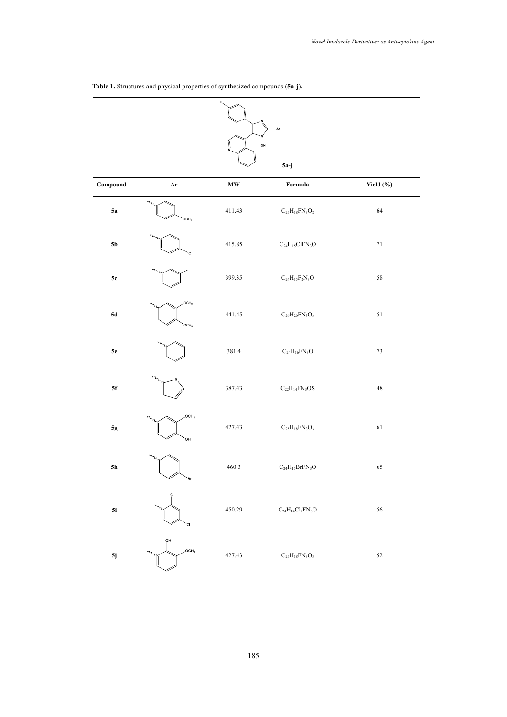| Ar<br>oн       |                                      |                            |                                                      |             |  |  |  |  |  |  |  |
|----------------|--------------------------------------|----------------------------|------------------------------------------------------|-------------|--|--|--|--|--|--|--|
|                | $5a-j$                               |                            |                                                      |             |  |  |  |  |  |  |  |
| Compound       | Ar                                   | $\boldsymbol{\mathrm{MW}}$ | Formula                                              | Yield (%)   |  |  |  |  |  |  |  |
| 5a             | OCH <sub>3</sub>                     | 411.43                     | $\rm{C}_{25}\rm{H}_{18}\rm{FN}_{3}\rm{O}_{2}$        | 64          |  |  |  |  |  |  |  |
| 5 <sub>b</sub> | CI.                                  | 415.85                     | $\rm{C}_{24}\rm{H}_{15}\rm{C}lFN_{3}\rm{O}$          | $71\,$      |  |  |  |  |  |  |  |
| $5\mathrm{c}$  |                                      | 399.35                     | $\rm{C}_{24}\rm{H}_{15}\rm{F}_{2}\rm{N}_{3}\rm{O}$   | 58          |  |  |  |  |  |  |  |
| $5d$           | OCH <sub>3</sub><br>OCH <sub>3</sub> | 441.45                     | $\rm{C}_{26}H_{20}FN_3O_3$                           | 51          |  |  |  |  |  |  |  |
| ${\bf 5e}$     |                                      | 381.4                      | $\rm{C}_{24}\rm{H}_{16}\rm{FN}_{3}\rm{O}$            | $73\,$      |  |  |  |  |  |  |  |
| 5f             |                                      | 387.43                     | $\rm{C}_{22}\rm{H}_{14}\rm{FN}_{3}\rm{OS}$           | $\sqrt{48}$ |  |  |  |  |  |  |  |
| $5g$           | OCH <sub>3</sub><br>ЮH               | 427.43                     | $\rm{C}_{25}\rm{H}_{18}\rm{FN}_{3}\rm{O}_{3}$        | 61          |  |  |  |  |  |  |  |
| $5h$           | Br                                   | 460.3                      | $\rm{C_{24}H_{15}BrFN_{3}O}$                         | 65          |  |  |  |  |  |  |  |
| 5i             | CI                                   | 450.29                     | $\rm{C}_{24}\rm{H}_{14}\rm{Cl}_{2}\rm{FN}_{3}\rm{O}$ | 56          |  |  |  |  |  |  |  |
| $5j$           | ọн<br>OCH <sub>3</sub>               | 427.43                     | $\rm{C}_{25}\rm{H}_{18}\rm{FN}_{3}\rm{O}_{3}$        | 52          |  |  |  |  |  |  |  |

**Table 1.** Structures and physical properties of synthesized compounds (**5a-j**)**. Table 1.** Structures and physical properties of synthesized compounds (**5a-j**)**.**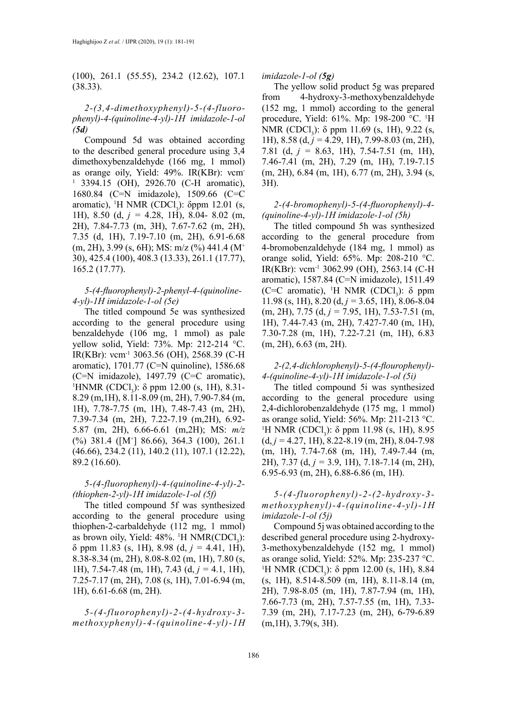(100), 261.1 (55.55), 234.2 (12.62), 107.1 (38.33).

*2-(3,4-dimethoxyphenyl)-5-(4-fluorophenyl)-4-(quinoline-4-yl)-1H imidazole-1-ol (5d)*

Compound 5d was obtained according to the described general procedure using 3,4 dimethoxybenzaldehyde (166 mg, 1 mmol) as orange oily, Yield: 49%. IR(KBr): νcm-1 3394.15 (OH), 2926.70 (C-H aromatic), 1680.84 (C=N imidazole), 1509.66 (C=C aromatic), <sup>1</sup>H NMR (CDCl<sub>3</sub>):  $\delta$ ppm 12.01 (s, 1H), 8.50 (d, *j =* 4.28, 1H), 8.04- 8.02 (m, 2H), 7.84-7.73 (m, 3H), 7.67-7.62 (m, 2H), 7.35 (d, 1H), 7.19-7.10 (m, 2H), 6.91-6.68  $(m, 2H)$ , 3.99 (s, 6H); MS: m/z (%) 441.4 (M<sup>+</sup> 30), 425.4 (100), 408.3 (13.33), 261.1 (17.77), 165.2 (17.77).

### *5-(4-fluorophenyl)-2-phenyl-4-(quinoline-4-yl)-1H imidazole-1-ol (5e)*

The titled compound 5e was synthesized according to the general procedure using benzaldehyde (106 mg, 1 mmol) as pale yellow solid, Yield: 73%. Mp: 212-214 °C. IR(KBr): νcm-1 3063.56 (OH), 2568.39 (C-H aromatic), 1701.77 (C=N quinoline), 1586.68 (C=N imidazole), 1497.79 (C=C aromatic), <sup>1</sup>HNMR (CDCl<sub>3</sub>): δ ppm 12.00 (s, 1H), 8.31-8.29 (m,1H), 8.11-8.09 (m, 2H), 7.90-7.84 (m, 1H), 7.78-7.75 (m, 1H), 7.48-7.43 (m, 2H), 7.39-7.34 (m, 2H), 7.22-7.19 (m,2H), 6.92- 5.87 (m, 2H), 6.66-6.61 (m,2H); MS: *m/z*   $(\%)$  381.4 ([M<sup>+</sup>] 86.66), 364.3 (100), 261.1 (46.66), 234.2 (11), 140.2 (11), 107.1 (12.22), 89.2 (16.60).

## *5-(4-fluorophenyl)-4-(quinoline-4-yl)-2- (thiophen-2-yl)-1H imidazole-1-ol (5f)*

The titled compound 5f was synthesized according to the general procedure using thiophen-2-carbaldehyde (112 mg, 1 mmol) as brown oily, Yield:  $48\%$ . <sup>1</sup>H NMR(CDCl<sub>3</sub>): δ ppm 11.83 (s, 1H), 8.98 (d, *j =* 4.41, 1H), 8.38-8.34 (m, 2H), 8.08-8.02 (m, 1H), 7.80 (s, 1H), 7.54-7.48 (m, 1H), 7.43 (d, *j =* 4.1, 1H), 7.25-7.17 (m, 2H), 7.08 (s, 1H), 7.01-6.94 (m, 1H), 6.61-6.68 (m, 2H).

*5-(4-fluorophenyl)-2-(4-hydroxy-3 methoxyphenyl)-4-(quinoline-4-yl)-1H*  *imidazole-1-ol (5g)*

The yellow solid product 5g was prepared from 4-hydroxy-3-methoxybenzaldehyde (152 mg, 1 mmol) according to the general procedure, Yield: 61%. Mp: 198-200 °C. <sup>1</sup> H NMR (CDCl<sub>3</sub>): δ ppm 11.69 (s, 1H), 9.22 (s, 1H), 8.58 (d, *j =* 4.29, 1H), 7.99-8.03 (m, 2H), 7.81 (d, *j =* 8.63, 1H), 7.54-7.51 (m, 1H), 7.46-7.41 (m, 2H), 7.29 (m, 1H), 7.19-7.15 (m, 2H), 6.84 (m, 1H), 6.77 (m, 2H), 3.94 (s, 3H).

## *2-(4-bromophenyl)-5-(4-fluorophenyl)-4- (quinoline-4-yl)-1H imidazole-1-ol (5h)*

The titled compound 5h was synthesized according to the general procedure from 4-bromobenzaldehyde (184 mg, 1 mmol) as orange solid, Yield: 65%. Mp: 208-210 °C. IR(KBr): νcm-1 3062.99 (OH), 2563.14 (C-H aromatic), 1587.84 (C=N imidazole), 1511.49 (C=C aromatic), <sup>1</sup>H NMR (CDCl<sub>3</sub>):  $\delta$  ppm 11.98 (s, 1H), 8.20 (d, *j =* 3.65, 1H), 8.06-8.04 (m, 2H), 7.75 (d, *j =* 7.95, 1H), 7.53-7.51 (m, 1H), 7.44-7.43 (m, 2H), 7.427-7.40 (m, 1H), 7.30-7.28 (m, 1H), 7.22-7.21 (m, 1H), 6.83 (m, 2H), 6.63 (m, 2H).

## *2-(2,4-dichlorophenyl)-5-(4-flourophenyl)- 4-(quinoline-4-yl)-1H imidazole-1-ol (5i)*

The titled compound 5i was synthesized according to the general procedure using 2,4-dichlorobenzaldehyde (175 mg, 1 mmol) as orange solid, Yield: 56%. Mp: 211-213 °C. <sup>1</sup>H NMR (CDCl<sub>3</sub>): δ ppm 11.98 (s, 1H), 8.95 (d, *j =* 4.27, 1H), 8.22-8.19 (m, 2H), 8.04-7.98 (m, 1H), 7.74-7.68 (m, 1H), 7.49-7.44 (m, 2H), 7.37 (d, *j =* 3.9, 1H), 7.18-7.14 (m, 2H), 6.95-6.93 (m, 2H), 6.88-6.86 (m, 1H).

*5-(4-fluorophenyl)-2-(2-hydroxy-3 methoxyphenyl)-4-(quinoline-4-yl)-1H imidazole-1-ol (5j)*

Compound 5j was obtained according to the described general procedure using 2-hydroxy-3-methoxybenzaldehyde (152 mg, 1 mmol) as orange solid, Yield: 52%. Mp: 235-237 °C. <sup>1</sup>H NMR (CDCl<sub>3</sub>): δ ppm 12.00 (s, 1H), 8.84 (s, 1H), 8.514-8.509 (m, 1H), 8.11-8.14 (m, 2H), 7.98-8.05 (m, 1H), 7.87-7.94 (m, 1H), 7.66-7.73 (m, 2H), 7.57-7.55 (m, 1H), 7.33- 7.39 (m, 2H), 7.17-7.23 (m, 2H), 6-79-6.89  $(m,1H), 3.79(s, 3H).$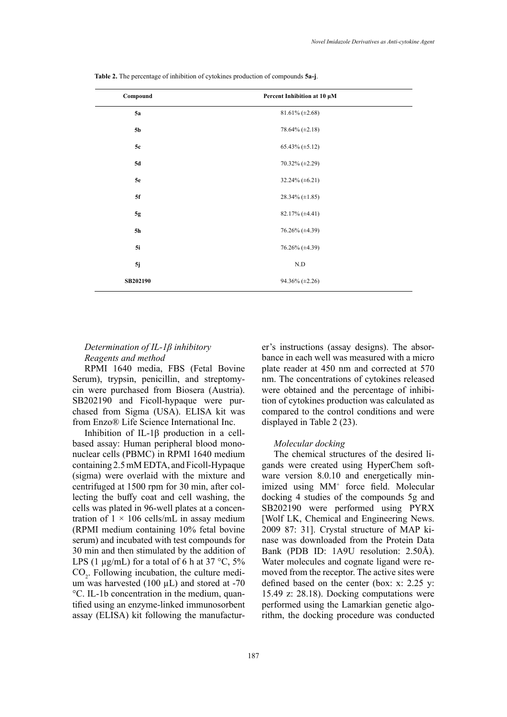| Compound  | Percent Inhibition at 10 µM |  |
|-----------|-----------------------------|--|
| <b>5a</b> | $81.61\% (\pm 2.68)$        |  |
| 5b        | 78.64% $(\pm 2.18)$         |  |
| 5c        | $65.43\% (\pm 5.12)$        |  |
| 5d        | $70.32\% (\pm 2.29)$        |  |
| <b>5e</b> | 32.24% $(\pm 6.21)$         |  |
| 5f        | 28.34% $(\pm 1.85)$         |  |
| 5g        | $82.17\%$ ( $\pm 4.41$ )    |  |
| 5h        | 76.26% (±4.39)              |  |
| 5i        | 76.26% (±4.39)              |  |
| $5j$      | $\rm N.D$                   |  |
| SB202190  | 94.36% (±2.26)              |  |

**Table 2.** The percentage of inhibition of cytokines production of compounds **5a-j**.

## *Determination of IL-1β inhibitory Reagents and method*

RPMI 1640 media, FBS (Fetal Bovine Serum), trypsin, penicillin, and streptomycin were purchased from Biosera (Austria). SB202190 and Ficoll-hypaque were purchased from Sigma (USA). ELISA kit was from Enzo® Life Science International Inc.

Inhibition of IL-1β production in a cellbased assay: Human peripheral blood mononuclear cells (PBMC) in RPMI 1640 medium containing 2.5 mM EDTA, and Ficoll-Hypaque (sigma) were overlaid with the mixture and centrifuged at 1500 rpm for 30 min, after collecting the buffy coat and cell washing, the cells was plated in 96-well plates at a concentration of  $1 \times 106$  cells/mL in assay medium (RPMI medium containing 10% fetal bovine serum) and incubated with test compounds for 30 min and then stimulated by the addition of LPS (1  $\mu$ g/mL) for a total of 6 h at 37 °C, 5%  $CO<sub>2</sub>$ . Following incubation, the culture medium was harvested  $(100 \mu L)$  and stored at -70 °C. IL-1b concentration in the medium, quantified using an enzyme-linked immunosorbent assay (ELISA) kit following the manufacturer's instructions (assay designs). The absorbance in each well was measured with a micro plate reader at 450 nm and corrected at 570 nm. The concentrations of cytokines released were obtained and the percentage of inhibition of cytokines production was calculated as compared to the control conditions and were displayed in Table 2 (23).

### *Molecular docking*

The chemical structures of the desired ligands were created using HyperChem software version 8.0.10 and energetically minimized using MM+ force field. Molecular docking 4 studies of the compounds 5g and SB202190 were performed using PYRX [Wolf LK, Chemical and Engineering News. 2009 87: 31]. Crystal structure of MAP kinase was downloaded from the Protein Data Bank (PDB ID: 1A9U resolution: 2.50Å). Water molecules and cognate ligand were removed from the receptor. The active sites were defined based on the center (box: x: 2.25 y: 15.49 z: 28.18). Docking computations were performed using the Lamarkian genetic algorithm, the docking procedure was conducted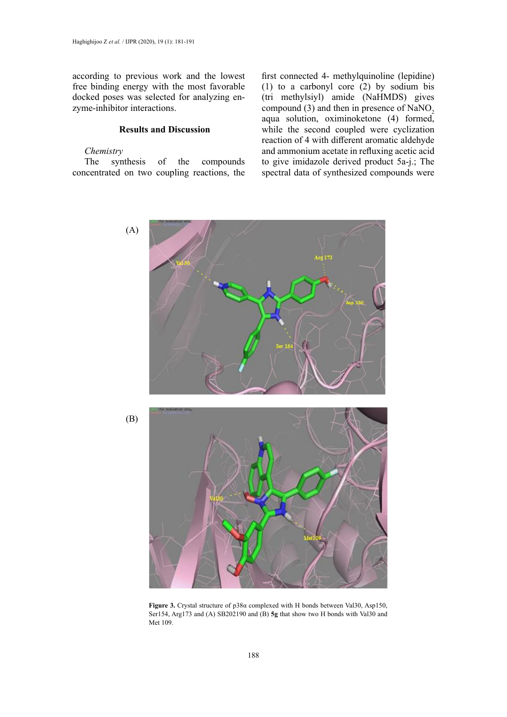according to previous work and the lowest free binding energy with the most favorable docked poses was selected for analyzing enzyme-inhibitor interactions.

## **Results and Discussion**

### *Chemistry*

The synthesis of the compounds concentrated on two coupling reactions, the first connected 4- methylquinoline (lepidine) (1) to a carbonyl core (2) by sodium bis (tri methylsiyl) amide (NaHMDS) gives compound (3) and then in presence of  $NaNO<sub>2</sub>$ aqua solution, oximinoketone (4) formed, while the second coupled were cyclization reaction of 4 with different aromatic aldehyde and ammonium acetate in refluxing acetic acid to give imidazole derived product 5a-j.; The spectral data of synthesized compounds were



**Figure 3.** Crystal structure of p38α complexed with H bonds between Val30, Asp150, Ser154, Arg173 and (A) SB202190 and (B) **5g** that show two H bonds with Val30 and Met 109. Figure 3. **Figure 3. Figure 3. Crystal structure of page 2. C** as properties  $\frac{1}{2}$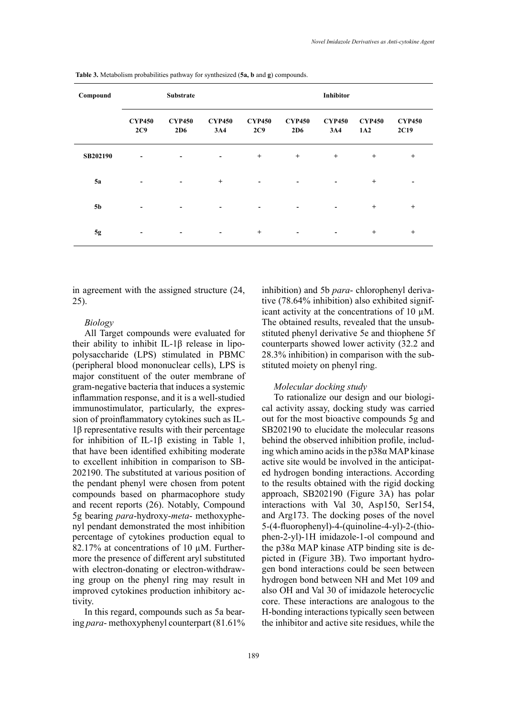| Compound       | <b>Substrate</b>     |                          |                              |                          | <b>Inhibitor</b>         |                          |                      |                       |
|----------------|----------------------|--------------------------|------------------------------|--------------------------|--------------------------|--------------------------|----------------------|-----------------------|
|                | <b>CYP450</b><br>2C9 | <b>CYP450</b><br>2D6     | <b>CYP450</b><br>3A4         | <b>CYP450</b><br>2C9     | <b>CYP450</b><br>2D6     | <b>CYP450</b><br>3A4     | <b>CYP450</b><br>1A2 | <b>CYP450</b><br>2C19 |
| SB202190       | -                    | $\overline{\phantom{a}}$ | $\qquad \qquad \blacksquare$ | $+$                      | $^{+}$                   | $^{+}$                   | $+$                  | $+$                   |
| <b>5a</b>      | -                    | $\overline{\phantom{a}}$ | $^{+}$                       | $\overline{\phantom{a}}$ | $\overline{\phantom{a}}$ | $\overline{\phantom{a}}$ | $^{+}$               |                       |
| 5 <sub>b</sub> |                      | -                        | $\overline{\phantom{a}}$     | $\overline{\phantom{0}}$ | $\overline{\phantom{0}}$ | $\overline{\phantom{a}}$ | $^{+}$               | $+$                   |
| $5g$           |                      | ٠                        | -                            | $^{+}$                   | $\overline{\phantom{a}}$ | $\overline{\phantom{a}}$ | $^{+}$               | $+$                   |

**Table 3.** Metabolism probabilities pathway for synthesized (**5a, b** and **g**) compounds. **Table 3.** Metabolism probabilities pathway for synthesized (**5a, b** and **g**) compounds.

in agreement with the assigned structure (24, 25).

### *Biology*

All Target compounds were evaluated for their ability to inhibit IL-1β release in lipopolysaccharide (LPS) stimulated in PBMC (peripheral blood mononuclear cells), LPS is major constituent of the outer membrane of gram-negative bacteria that induces a systemic inflammation response, and it is a well-studied immunostimulator, particularly, the expression of proinflammatory cytokines such as IL-1β representative results with their percentage for inhibition of IL-1β existing in Table 1, that have been identified exhibiting moderate to excellent inhibition in comparison to SB-202190. The substituted at various position of the pendant phenyl were chosen from potent compounds based on pharmacophore study and recent reports (26). Notably, Compound 5g bearing *para*-hydroxy-*meta*- methoxyphenyl pendant demonstrated the most inhibition percentage of cytokines production equal to 82.17% at concentrations of 10  $\mu$ M. Furthermore the presence of different aryl substituted with electron-donating or electron-withdrawing group on the phenyl ring may result in improved cytokines production inhibitory activity.

In this regard, compounds such as 5a bearing *para*- methoxyphenyl counterpart (81.61% inhibition) and 5b *para*- chlorophenyl derivative (78.64% inhibition) also exhibited significant activity at the concentrations of 10 µM. The obtained results, revealed that the unsubstituted phenyl derivative 5e and thiophene 5f counterparts showed lower activity (32.2 and 28.3% inhibition) in comparison with the substituted moiety on phenyl ring.

### *Molecular docking study*

To rationalize our design and our biological activity assay, docking study was carried out for the most bioactive compounds 5g and SB202190 to elucidate the molecular reasons behind the observed inhibition profile, including which amino acids in the p38α MAP kinase active site would be involved in the anticipated hydrogen bonding interactions. According to the results obtained with the rigid docking approach, SB202190 (Figure 3A) has polar interactions with Val 30, Asp150, Ser154, and Arg173. The docking poses of the novel 5-(4-fluorophenyl)-4-(quinoline-4-yl)-2-(thiophen-2-yl)-1H imidazole-1-ol compound and the p38α MAP kinase ATP binding site is depicted in (Figure 3B). Two important hydrogen bond interactions could be seen between hydrogen bond between NH and Met 109 and also OH and Val 30 of imidazole heterocyclic core. These interactions are analogous to the H-bonding interactions typically seen between the inhibitor and active site residues, while the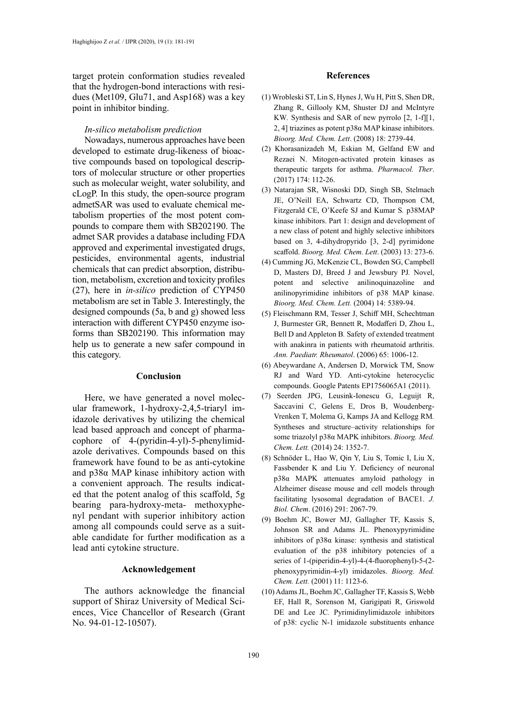target protein conformation studies revealed that the hydrogen-bond interactions with residues (Met109, Glu71, and Asp168) was a key point in inhibitor binding.

## *In-silico metabolism prediction*

Nowadays, numerous approaches have been developed to estimate drug-likeness of bioactive compounds based on topological descriptors of molecular structure or other properties such as molecular weight, water solubility, and cLogP. In this study, the open-source program admetSAR was used to evaluate chemical metabolism properties of the most potent compounds to compare them with SB202190. The admet SAR provides a database including FDA approved and experimental investigated drugs, pesticides, environmental agents, industrial chemicals that can predict absorption, distribution, metabolism, excretion and toxicity profiles (27), here in *in-silico* prediction of CYP450 metabolism are set in Table 3. Interestingly, the designed compounds (5a, b and g) showed less interaction with different CYP450 enzyme isoforms than SB202190. This information may help us to generate a new safer compound in this category.

### **Conclusion**

Here, we have generated a novel molecular framework, 1-hydroxy-2,4,5-triaryl imidazole derivatives by utilizing the chemical lead based approach and concept of pharmacophore of 4-(pyridin-4-yl)-5-phenylimidazole derivatives. Compounds based on this framework have found to be as anti-cytokine and p38α MAP kinase inhibitory action with a convenient approach. The results indicated that the potent analog of this scaffold, 5g bearing para-hydroxy-meta- methoxyphenyl pendant with superior inhibitory action among all compounds could serve as a suitable candidate for further modification as a lead anti cytokine structure.

### **Acknowledgement**

The authors acknowledge the financial support of Shiraz University of Medical Sciences, Vice Chancellor of Research (Grant No. 94-01-12-10507).

#### **References**

- (1) Wrobleski ST, Lin S, Hynes J, Wu H, Pitt S, Shen DR, Zhang R, Gillooly KM, Shuster DJ and McIntyre KW*.* Synthesis and SAR of new pyrrolo [2, 1-f][1, 2, 4] triazines as potent p38α MAP kinase inhibitors. *Bioorg. Med. Chem. Lett*. (2008) 18: 2739-44.
- (2) Khorasanizadeh M, Eskian M, Gelfand EW and Rezaei N. Mitogen-activated protein kinases as therapeutic targets for asthma. *Pharmacol. Ther*. (2017) 174: 112-26.
- (3) Natarajan SR, Wisnoski DD, Singh SB, Stelmach JE, O'Neill EA, Schwartz CD, Thompson CM, Fitzgerald CE, O'Keefe SJ and Kumar S*.* p38MAP kinase inhibitors. Part 1: design and development of a new class of potent and highly selective inhibitors based on 3, 4-dihydropyrido [3, 2-d] pyrimidone scaffold. *Bioorg. Med. Chem. Lett*. (2003) 13: 273-6.
- (4) Cumming JG, McKenzie CL, Bowden SG, Campbell D, Masters DJ, Breed J and Jewsbury PJ*.* Novel, potent and selective anilinoquinazoline and anilinopyrimidine inhibitors of p38 MAP kinase. *Bioorg. Med. Chem. Lett.* (2004) 14: 5389-94.
- (5) Fleischmann RM, Tesser J, Schiff MH, Schechtman J, Burmester GR, Bennett R, Modafferi D, Zhou L, Bell D and Appleton B*.* Safety of extended treatment with anakinra in patients with rheumatoid arthritis. *Ann. Paediatr. Rheumatol*. (2006) 65: 1006-12.
- (6) Abeywardane A, Andersen D, Morwick TM, Snow RJ and Ward YD. Anti-cytokine heterocyclic compounds. Google Patents EP1756065A1 (2011).
- (7) Seerden JPG, Leusink-Ionescu G, Leguijt R, Saccavini C, Gelens E, Dros B, Woudenberg-Vrenken T, Molema G, Kamps JA and Kellogg RM*.* Syntheses and structure–activity relationships for some triazolyl p38α MAPK inhibitors. *Bioorg. Med. Chem. Lett.* (2014) 24: 1352-7.
- (8) Schnöder L, Hao W, Qin Y, Liu S, Tomic I, Liu X, Fassbender K and Liu Y*.* Deficiency of neuronal p38α MAPK attenuates amyloid pathology in Alzheimer disease mouse and cell models through facilitating lysosomal degradation of BACE1. *J. Biol. Chem*. (2016) 291: 2067-79.
- (9) Boehm JC, Bower MJ, Gallagher TF, Kassis S, Johnson SR and Adams JL. Phenoxypyrimidine inhibitors of p38α kinase: synthesis and statistical evaluation of the p38 inhibitory potencies of a series of 1-(piperidin-4-yl)-4-(4-fluorophenyl)-5-(2 phenoxypyrimidin-4-yl) imidazoles. *Bioorg. Med. Chem. Lett.* (2001) 11: 1123-6.
- (10) Adams JL, Boehm JC, Gallagher TF, Kassis S, Webb EF, Hall R, Sorenson M, Garigipati R, Griswold DE and Lee JC*.* Pyrimidinylimidazole inhibitors of p38: cyclic N-1 imidazole substituents enhance